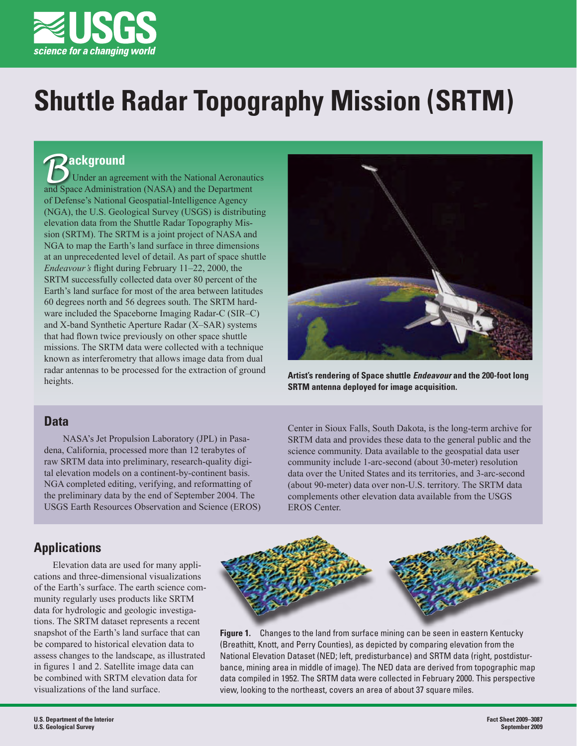

# **Shuttle Radar Topography Mission (SRTM)**

# **ackground**

Under an agreement with the National Aeronautics **And Space Administration (NASA)** and the Department and Space Administration (NASA) and the Department of Defense's National Geospatial-Intelligence Agency (NGA), the U.S. Geological Survey (USGS) is distributing elevation data from the Shuttle Radar Topography Mission (SRTM). The SRTM is a joint project of NASA and NGA to map the Earth's land surface in three dimensions at an unprecedented level of detail. As part of space shuttle *Endeavour's* flight during February 11–22, 2000, the SRTM successfully collected data over 80 percent of the Earth's land surface for most of the area between latitudes 60 degrees north and 56 degrees south. The SRTM hardware included the Spaceborne Imaging Radar-C (SIR–C) and X-band Synthetic Aperture Radar (X–SAR) systems that had flown twice previously on other space shuttle missions. The SRTM data were collected with a technique known as interferometry that allows image data from dual radar antennas to be processed for the extraction of ground heights.



**Artist's rendering of Space shuttle** *Endeavour* **and the 200-foot long SRTM antenna deployed for image acquisition.**

## **Data**

NASA's Jet Propulsion Laboratory (JPL) in Pasadena, California, processed more than 12 terabytes of raw SRTM data into preliminary, research-quality digital elevation models on a continent-by-continent basis. NGA completed editing, verifying, and reformatting of the preliminary data by the end of September 2004. The USGS Earth Resources Observation and Science (EROS) Center in Sioux Falls, South Dakota, is the long-term archive for SRTM data and provides these data to the general public and the science community. Data available to the geospatial data user community include 1-arc-second (about 30-meter) resolution data over the United States and its territories, and 3-arc-second (about 90-meter) data over non-U.S. territory. The SRTM data complements other elevation data available from the USGS EROS Center.

# **Applications**

Elevation data are used for many applications and three-dimensional visualizations of the Earth's surface. The earth science community regularly uses products like SRTM data for hydrologic and geologic investigations. The SRTM dataset represents a recent snapshot of the Earth's land surface that can be compared to historical elevation data to assess changes to the landscape, as illustrated in figures 1 and 2. Satellite image data can be combined with SRTM elevation data for visualizations of the land surface.



**Figure 1.** Changes to the land from surface mining can be seen in eastern Kentucky (Breathitt, Knott, and Perry Counties), as depicted by comparing elevation from the National Elevation Dataset (NED; left, predisturbance) and SRTM data (right, postdisturbance, mining area in middle of image). The NED data are derived from topographic map data compiled in 1952. The SRTM data were collected in February 2000. This perspective view, looking to the northeast, covers an area of about 37 square miles.